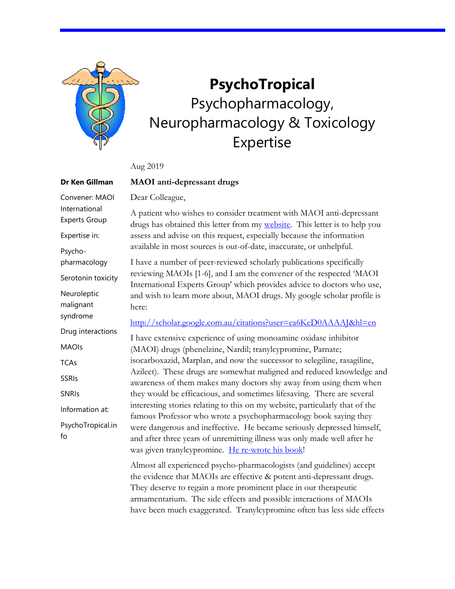

**Dr Ken Gillman**

Convener: MAOI International Experts Group

Expertise in:

pharmacology

Neuroleptic malignant syndrome

MAOIs

**TCAs** 

SSRIs

SNRIs

fo

Information at:

Psycho-

## **PsychoTropical** Psychopharmacology, Neuropharmacology & Toxicology Expertise

Aug 2019

## **MAOI anti-depressant drugs**

Dear Colleague,

A patient who wishes to consider treatment with MAOI anti-depressant drugs has obtained this letter from my [website.](https://psychotropical.com/maois/) This letter is to help you assess and advise on this request, especially because the information available in most sources is out-of-date, inaccurate, or unhelpful.

I have a number of peer-reviewed scholarly publications specifically reviewing MAOIs [1-6], and I am the convener of the respected 'MAOI International Experts Group' which provides advice to doctors who use, and wish to learn more about, MAOI drugs. My google scholar profile is here: Serotonin toxicity

<http://scholar.google.com.au/citations?user=ea6KeD0AAAAJ&hl=en>

I have extensive experience of using monoamine oxidase inhibitor (MAOI) drugs (phenelzine, Nardil; tranylcypromine, Parnate; isocarboxazid, Marplan, and now the successor to selegiline, rasagiline, Azilect). These drugs are somewhat maligned and reduced knowledge and awareness of them makes many doctors shy away from using them when they would be efficacious, and sometimes lifesaving. There are several interesting stories relating to this on my website, particularly that of the famous Professor who wrote a psychopharmacology book saying they were dangerous and ineffective. He became seriously depressed himself, and after three years of unremitting illness was only made well after he was given tranylcypromine. [He re-wrote his](https://psychotropical.info/patient-stories-a-professors-illness/) book! Drug interactions PsychoTropical.in

> Almost all experienced psycho-pharmacologists (and guidelines) accept the evidence that MAOIs are effective & potent anti-depressant drugs. They deserve to regain a more prominent place in our therapeutic armamentarium. The side effects and possible interactions of MAOIs have been much exaggerated. Tranylcypromine often has less side effects